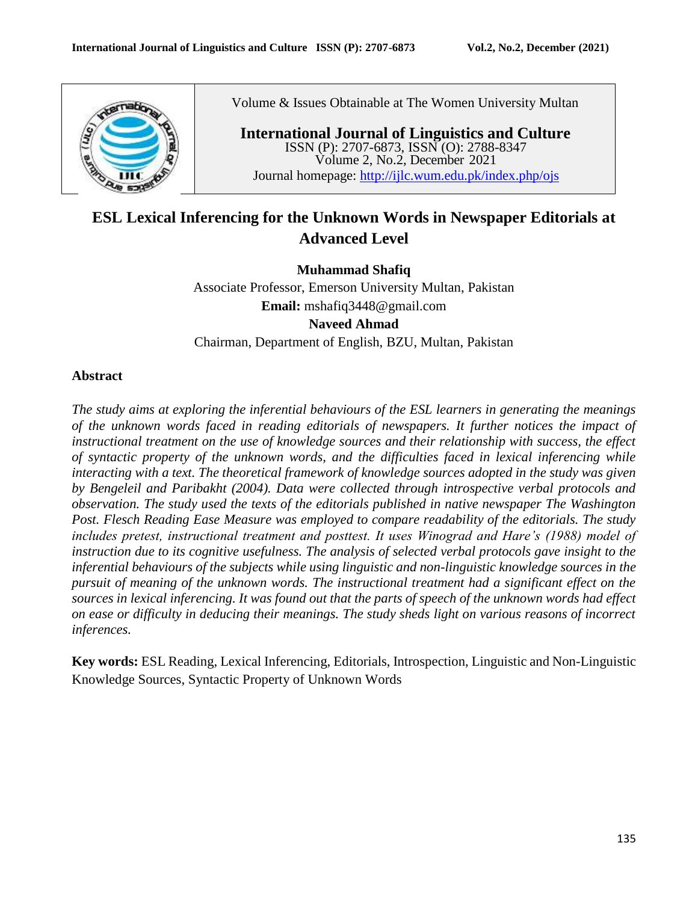

Volume & Issues Obtainable at The Women University Multan

**International Journal of Linguistics and Culture** ISSN (P): 2707-6873, ISSN (O): 2788-8347 Volume 2, No.2, December 2021 Journal homepage:<http://ijlc.wum.edu.pk/index.php/ojs>

# **ESL Lexical Inferencing for the Unknown Words in Newspaper Editorials at Advanced Level**

**Muhammad Shafiq** Associate Professor, Emerson University Multan, Pakistan **Email:** mshafiq3448@gmail.com **Naveed Ahmad** Chairman, Department of English, BZU, Multan, Pakistan

# **Abstract**

*The study aims at exploring the inferential behaviours of the ESL learners in generating the meanings of the unknown words faced in reading editorials of newspapers. It further notices the impact of instructional treatment on the use of knowledge sources and their relationship with success, the effect of syntactic property of the unknown words, and the difficulties faced in lexical inferencing while interacting with a text. The theoretical framework of knowledge sources adopted in the study was given by Bengeleil and Paribakht (2004). Data were collected through introspective verbal protocols and observation. The study used the texts of the editorials published in native newspaper The Washington Post. Flesch Reading Ease Measure was employed to compare readability of the editorials. The study includes pretest, instructional treatment and posttest. It uses Winograd and Hare's (1988) model of instruction due to its cognitive usefulness. The analysis of selected verbal protocols gave insight to the inferential behaviours of the subjects while using linguistic and non-linguistic knowledge sources in the pursuit of meaning of the unknown words. The instructional treatment had a significant effect on the sources in lexical inferencing. It was found out that the parts of speech of the unknown words had effect on ease or difficulty in deducing their meanings. The study sheds light on various reasons of incorrect inferences.* 

**Key words:** ESL Reading, Lexical Inferencing, Editorials, Introspection, Linguistic and Non-Linguistic Knowledge Sources, Syntactic Property of Unknown Words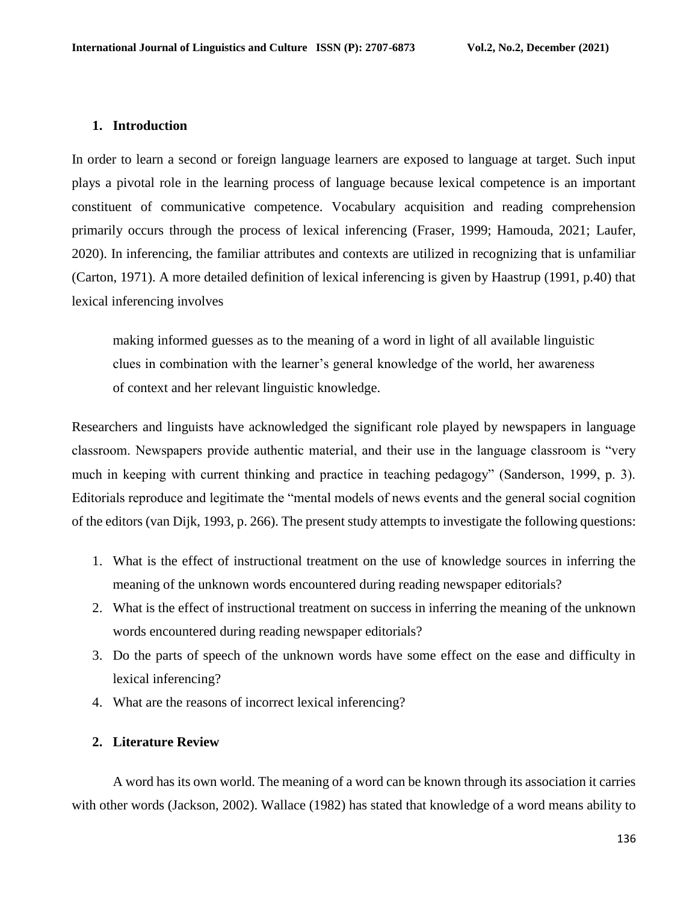#### **1. Introduction**

In order to learn a second or foreign language learners are exposed to language at target. Such input plays a pivotal role in the learning process of language because lexical competence is an important constituent of communicative competence. Vocabulary acquisition and reading comprehension primarily occurs through the process of lexical inferencing (Fraser, 1999; Hamouda, 2021; Laufer, 2020). In inferencing, the familiar attributes and contexts are utilized in recognizing that is unfamiliar (Carton, 1971). A more detailed definition of lexical inferencing is given by Haastrup (1991, p.40) that lexical inferencing involves

making informed guesses as to the meaning of a word in light of all available linguistic clues in combination with the learner's general knowledge of the world, her awareness of context and her relevant linguistic knowledge.

Researchers and linguists have acknowledged the significant role played by newspapers in language classroom. Newspapers provide authentic material, and their use in the language classroom is "very much in keeping with current thinking and practice in teaching pedagogy" (Sanderson, 1999, p. 3). Editorials reproduce and legitimate the "mental models of news events and the general social cognition of the editors (van Dijk, 1993, p. 266). The present study attempts to investigate the following questions:

- 1. What is the effect of instructional treatment on the use of knowledge sources in inferring the meaning of the unknown words encountered during reading newspaper editorials?
- 2. What is the effect of instructional treatment on success in inferring the meaning of the unknown words encountered during reading newspaper editorials?
- 3. Do the parts of speech of the unknown words have some effect on the ease and difficulty in lexical inferencing?
- 4. What are the reasons of incorrect lexical inferencing?

#### **2. Literature Review**

A word has its own world. The meaning of a word can be known through its association it carries with other words (Jackson, 2002). Wallace (1982) has stated that knowledge of a word means ability to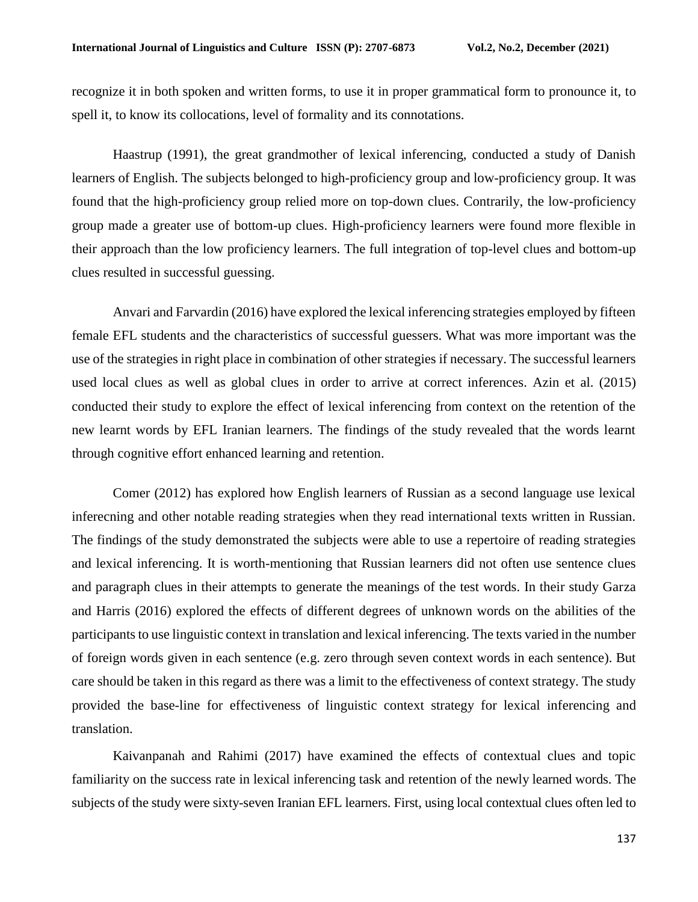recognize it in both spoken and written forms, to use it in proper grammatical form to pronounce it, to spell it, to know its collocations, level of formality and its connotations.

Haastrup (1991), the great grandmother of lexical inferencing, conducted a study of Danish learners of English. The subjects belonged to high-proficiency group and low-proficiency group. It was found that the high-proficiency group relied more on top-down clues. Contrarily, the low-proficiency group made a greater use of bottom-up clues. High-proficiency learners were found more flexible in their approach than the low proficiency learners. The full integration of top-level clues and bottom-up clues resulted in successful guessing.

Anvari and Farvardin (2016) have explored the lexical inferencing strategies employed by fifteen female EFL students and the characteristics of successful guessers. What was more important was the use of the strategies in right place in combination of other strategies if necessary. The successful learners used local clues as well as global clues in order to arrive at correct inferences. Azin et al. (2015) conducted their study to explore the effect of lexical inferencing from context on the retention of the new learnt words by EFL Iranian learners. The findings of the study revealed that the words learnt through cognitive effort enhanced learning and retention.

Comer (2012) has explored how English learners of Russian as a second language use lexical inferecning and other notable reading strategies when they read international texts written in Russian. The findings of the study demonstrated the subjects were able to use a repertoire of reading strategies and lexical inferencing. It is worth-mentioning that Russian learners did not often use sentence clues and paragraph clues in their attempts to generate the meanings of the test words. In their study Garza and Harris (2016) explored the effects of different degrees of unknown words on the abilities of the participants to use linguistic context in translation and lexical inferencing. The texts varied in the number of foreign words given in each sentence (e.g. zero through seven context words in each sentence). But care should be taken in this regard as there was a limit to the effectiveness of context strategy. The study provided the base-line for effectiveness of linguistic context strategy for lexical inferencing and translation.

Kaivanpanah and Rahimi (2017) have examined the effects of contextual clues and topic familiarity on the success rate in lexical inferencing task and retention of the newly learned words. The subjects of the study were sixty-seven Iranian EFL learners. First, using local contextual clues often led to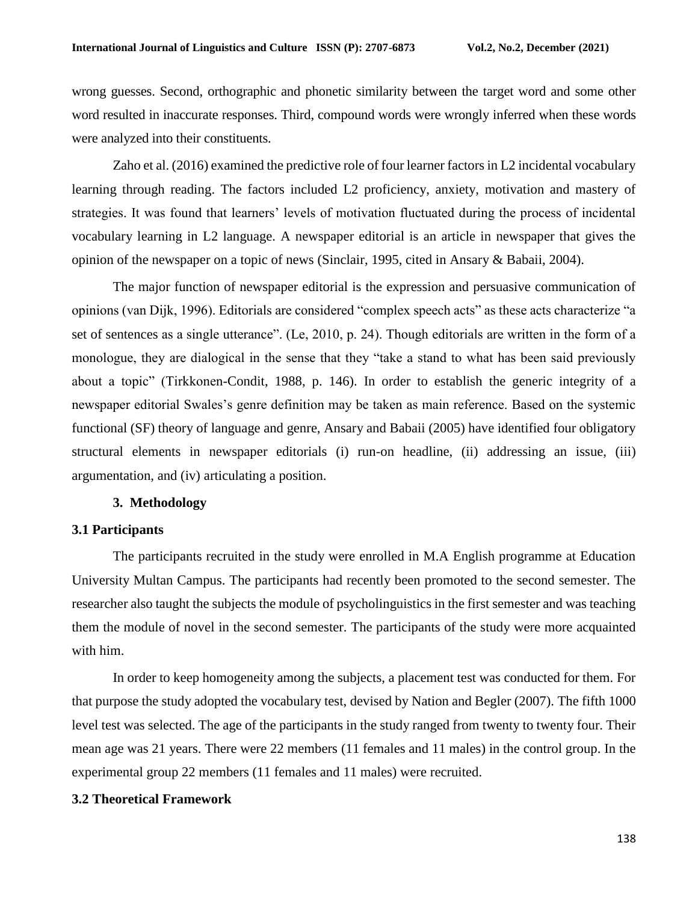wrong guesses. Second, orthographic and phonetic similarity between the target word and some other word resulted in inaccurate responses. Third, compound words were wrongly inferred when these words were analyzed into their constituents.

Zaho et al. (2016) examined the predictive role of four learner factors in L2 incidental vocabulary learning through reading. The factors included L2 proficiency, anxiety, motivation and mastery of strategies. It was found that learners' levels of motivation fluctuated during the process of incidental vocabulary learning in L2 language. A newspaper editorial is an article in newspaper that gives the opinion of the newspaper on a topic of news (Sinclair, 1995, cited in Ansary & Babaii, 2004).

The major function of newspaper editorial is the expression and persuasive communication of opinions (van Dijk, 1996). Editorials are considered "complex speech acts" as these acts characterize "a set of sentences as a single utterance". (Le, 2010, p. 24). Though editorials are written in the form of a monologue, they are dialogical in the sense that they "take a stand to what has been said previously about a topic" (Tirkkonen-Condit, 1988, p. 146). In order to establish the generic integrity of a newspaper editorial Swales's genre definition may be taken as main reference. Based on the systemic functional (SF) theory of language and genre, Ansary and Babaii (2005) have identified four obligatory structural elements in newspaper editorials (i) run-on headline, (ii) addressing an issue, (iii) argumentation, and (iv) articulating a position.

#### **3. Methodology**

#### **3.1 Participants**

The participants recruited in the study were enrolled in M.A English programme at Education University Multan Campus. The participants had recently been promoted to the second semester. The researcher also taught the subjects the module of psycholinguistics in the first semester and was teaching them the module of novel in the second semester. The participants of the study were more acquainted with him.

In order to keep homogeneity among the subjects, a placement test was conducted for them. For that purpose the study adopted the vocabulary test, devised by Nation and Begler (2007). The fifth 1000 level test was selected. The age of the participants in the study ranged from twenty to twenty four. Their mean age was 21 years. There were 22 members (11 females and 11 males) in the control group. In the experimental group 22 members (11 females and 11 males) were recruited.

# **3.2 Theoretical Framework**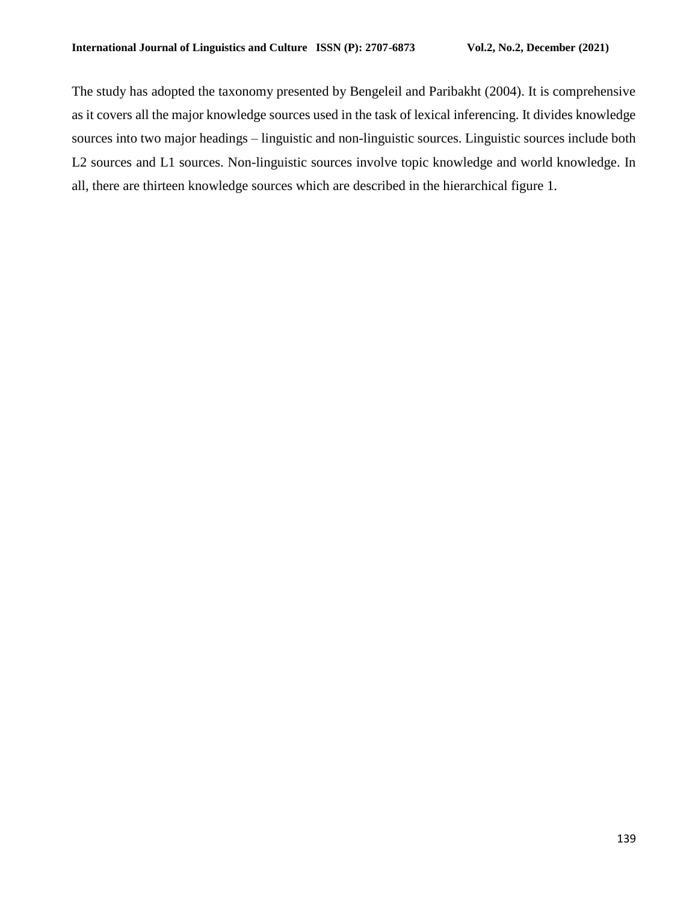The study has adopted the taxonomy presented by Bengeleil and Paribakht (2004). It is comprehensive as it covers all the major knowledge sources used in the task of lexical inferencing. It divides knowledge sources into two major headings – linguistic and non-linguistic sources. Linguistic sources include both L2 sources and L1 sources. Non-linguistic sources involve topic knowledge and world knowledge. In all, there are thirteen knowledge sources which are described in the hierarchical figure 1.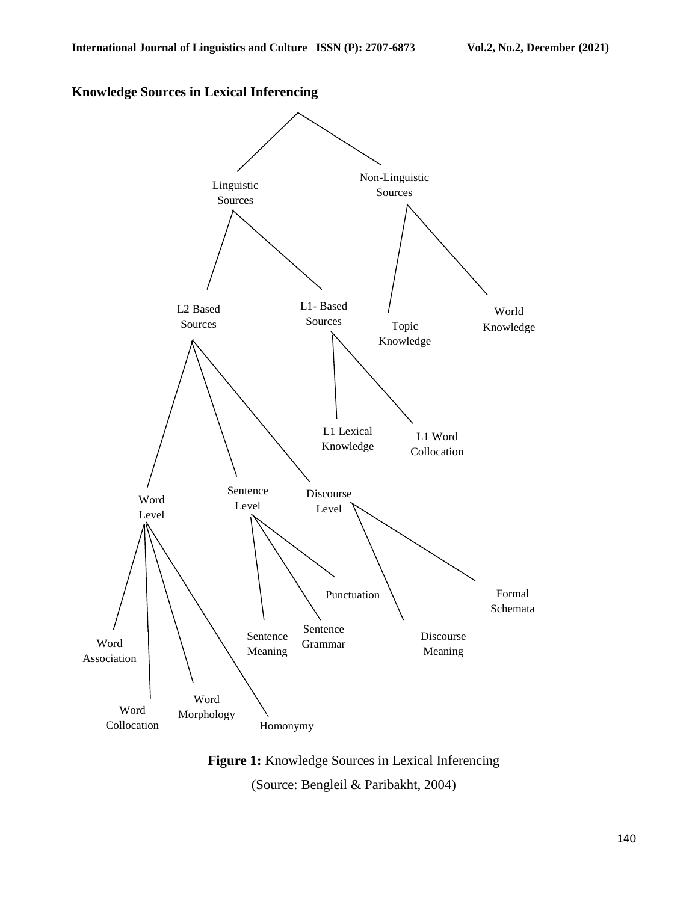

# **Knowledge Sources in Lexical Inferencing**

**Figure 1:** Knowledge Sources in Lexical Inferencing (Source: Bengleil & Paribakht, 2004)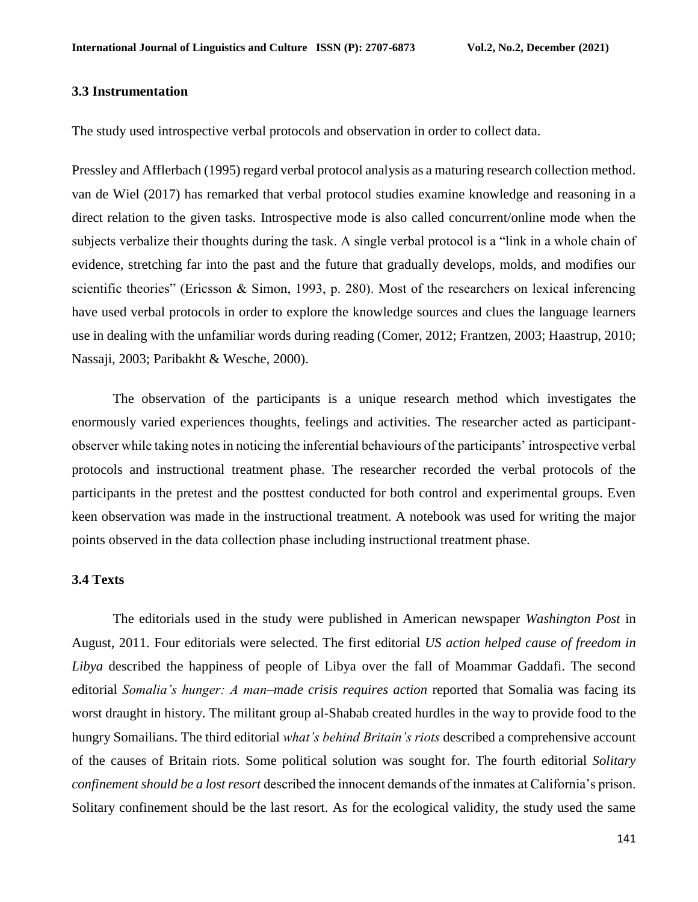#### **3.3 Instrumentation**

The study used introspective verbal protocols and observation in order to collect data.

Pressley and Afflerbach (1995) regard verbal protocol analysis as a maturing research collection method. van de Wiel (2017) has remarked that verbal protocol studies examine knowledge and reasoning in a direct relation to the given tasks. Introspective mode is also called concurrent/online mode when the subjects verbalize their thoughts during the task. A single verbal protocol is a "link in a whole chain of evidence, stretching far into the past and the future that gradually develops, molds, and modifies our scientific theories" (Ericsson & Simon, 1993, p. 280). Most of the researchers on lexical inferencing have used verbal protocols in order to explore the knowledge sources and clues the language learners use in dealing with the unfamiliar words during reading (Comer, 2012; Frantzen, 2003; Haastrup, 2010; Nassaji, 2003; Paribakht & Wesche, 2000).

The observation of the participants is a unique research method which investigates the enormously varied experiences thoughts, feelings and activities. The researcher acted as participantobserver while taking notes in noticing the inferential behaviours of the participants' introspective verbal protocols and instructional treatment phase. The researcher recorded the verbal protocols of the participants in the pretest and the posttest conducted for both control and experimental groups. Even keen observation was made in the instructional treatment. A notebook was used for writing the major points observed in the data collection phase including instructional treatment phase.

#### **3.4 Texts**

The editorials used in the study were published in American newspaper *Washington Post* in August, 2011. Four editorials were selected. The first editorial *US action helped cause of freedom in Libya* described the happiness of people of Libya over the fall of Moammar Gaddafi. The second editorial *Somalia's hunger: A man–made crisis requires action* reported that Somalia was facing its worst draught in history. The militant group al-Shabab created hurdles in the way to provide food to the hungry Somailians. The third editorial *what's behind Britain's riots* described a comprehensive account of the causes of Britain riots. Some political solution was sought for. The fourth editorial *Solitary confinement should be a lost resort* described the innocent demands of the inmates at California's prison. Solitary confinement should be the last resort. As for the ecological validity, the study used the same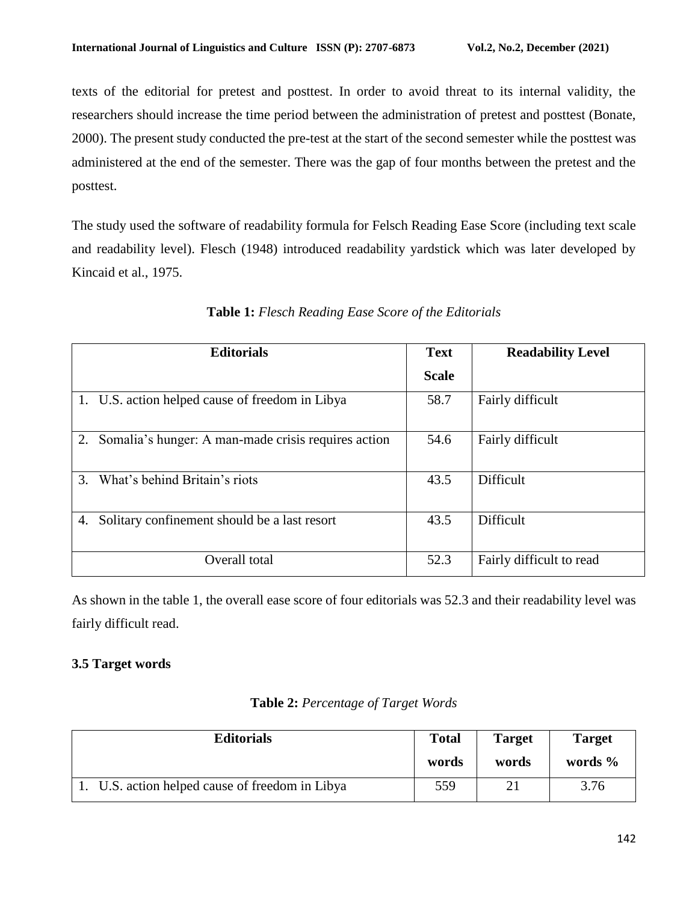texts of the editorial for pretest and posttest. In order to avoid threat to its internal validity, the researchers should increase the time period between the administration of pretest and posttest (Bonate, 2000). The present study conducted the pre-test at the start of the second semester while the posttest was administered at the end of the semester. There was the gap of four months between the pretest and the posttest.

The study used the software of readability formula for Felsch Reading Ease Score (including text scale and readability level). Flesch (1948) introduced readability yardstick which was later developed by Kincaid et al., 1975.

|                        | <b>Editorials</b>                                   | <b>Text</b>  | <b>Readability Level</b> |
|------------------------|-----------------------------------------------------|--------------|--------------------------|
|                        |                                                     | <b>Scale</b> |                          |
|                        | 1. U.S. action helped cause of freedom in Libya     | 58.7         | Fairly difficult         |
| 2.                     | Somalia's hunger: A man-made crisis requires action | 54.6         | Fairly difficult         |
| $\mathcal{R}_{\alpha}$ | What's behind Britain's riots                       | 43.5         | Difficult                |
| 4.                     | Solitary confinement should be a last resort        | 43.5         | Difficult                |
|                        | Overall total                                       | 52.3         | Fairly difficult to read |

**Table 1:** *Flesch Reading Ease Score of the Editorials*

As shown in the table 1, the overall ease score of four editorials was 52.3 and their readability level was fairly difficult read.

# **3.5 Target words**

| <b>Editorials</b>                               | <b>Total</b> | <b>Target</b> | <b>Target</b> |
|-------------------------------------------------|--------------|---------------|---------------|
|                                                 | words        | words         | words %       |
| 1. U.S. action helped cause of freedom in Libya | 559          |               | 3.76          |

**Table 2:** *Percentage of Target Words*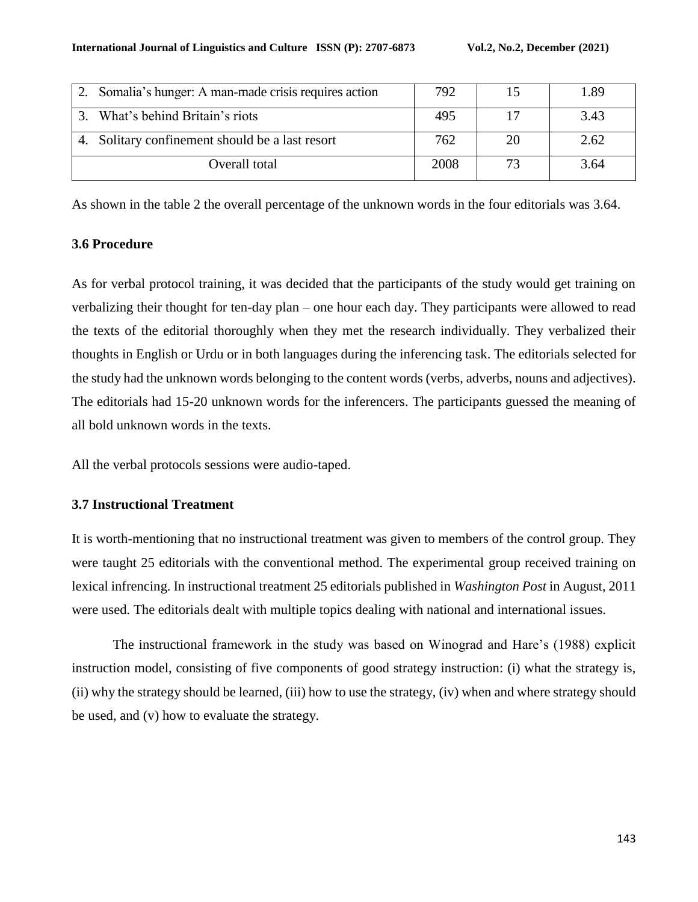| 2. Somalia's hunger: A man-made crisis requires action | 792  | 15 | 1.89 |
|--------------------------------------------------------|------|----|------|
| What's behind Britain's riots<br>$\mathcal{R}$         | 495  |    | 3.43 |
| 4. Solitary confinement should be a last resort        | 762  | 20 | 2.62 |
| Overall total                                          | 2008 | 73 | 3.64 |

As shown in the table 2 the overall percentage of the unknown words in the four editorials was 3.64.

# **3.6 Procedure**

As for verbal protocol training, it was decided that the participants of the study would get training on verbalizing their thought for ten-day plan – one hour each day. They participants were allowed to read the texts of the editorial thoroughly when they met the research individually. They verbalized their thoughts in English or Urdu or in both languages during the inferencing task. The editorials selected for the study had the unknown words belonging to the content words (verbs, adverbs, nouns and adjectives). The editorials had 15-20 unknown words for the inferencers. The participants guessed the meaning of all bold unknown words in the texts.

All the verbal protocols sessions were audio-taped.

# **3.7 Instructional Treatment**

It is worth-mentioning that no instructional treatment was given to members of the control group. They were taught 25 editorials with the conventional method. The experimental group received training on lexical infrencing. In instructional treatment 25 editorials published in *Washington Post* in August, 2011 were used. The editorials dealt with multiple topics dealing with national and international issues.

The instructional framework in the study was based on Winograd and Hare's (1988) explicit instruction model, consisting of five components of good strategy instruction: (i) what the strategy is, (ii) why the strategy should be learned, (iii) how to use the strategy, (iv) when and where strategy should be used, and (v) how to evaluate the strategy.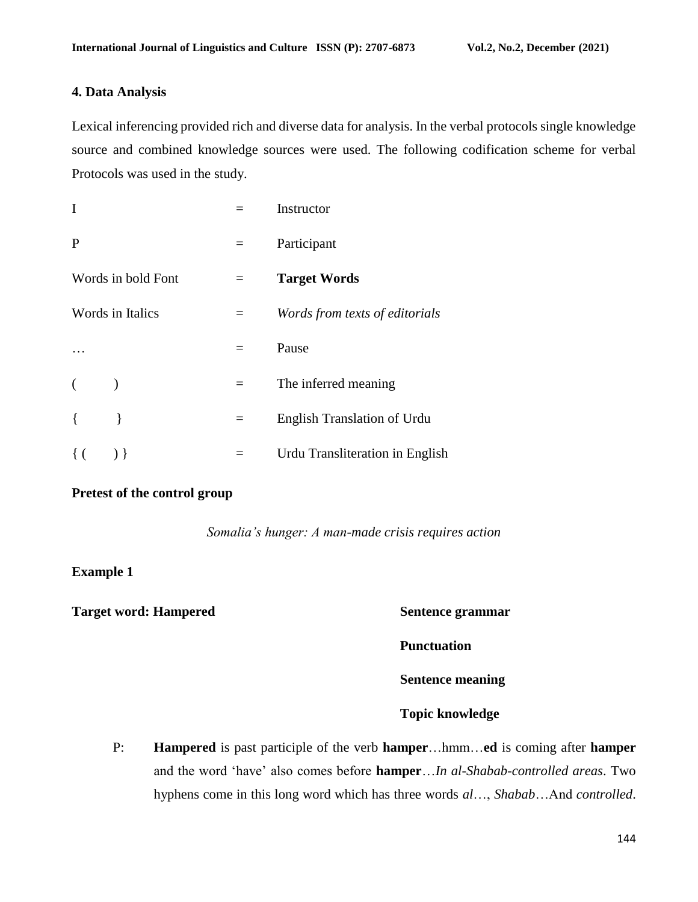# **4. Data Analysis**

Lexical inferencing provided rich and diverse data for analysis. In the verbal protocols single knowledge source and combined knowledge sources were used. The following codification scheme for verbal Protocols was used in the study.

| I        |                                                    |          | Instructor                         |
|----------|----------------------------------------------------|----------|------------------------------------|
| P        |                                                    | $=$      | Participant                        |
|          | Words in bold Font                                 | $\equiv$ | <b>Target Words</b>                |
|          | Words in Italics                                   | $\equiv$ | Words from texts of editorials     |
|          |                                                    | $=$      | Pause                              |
| $\left($ |                                                    | $=$      | The inferred meaning               |
| $\{$     |                                                    | $=$      | <b>English Translation of Urdu</b> |
| $\{ ($   | $\left\{\n\begin{array}{c}\n\end{array}\n\right\}$ |          | Urdu Transliteration in English    |

# **Pretest of the control group**

*Somalia's hunger: A man-made crisis requires action*

# **Example 1**

**Target word: Hampered Sentence grammar** 

**Punctuation Sentence meaning Topic knowledge** 

P: **Hampered** is past participle of the verb **hamper**…hmm…**ed** is coming after **hamper** and the word 'have' also comes before **hamper**…*In al-Shabab-controlled areas*. Two hyphens come in this long word which has three words *al*…, *Shabab*…And *controlled*.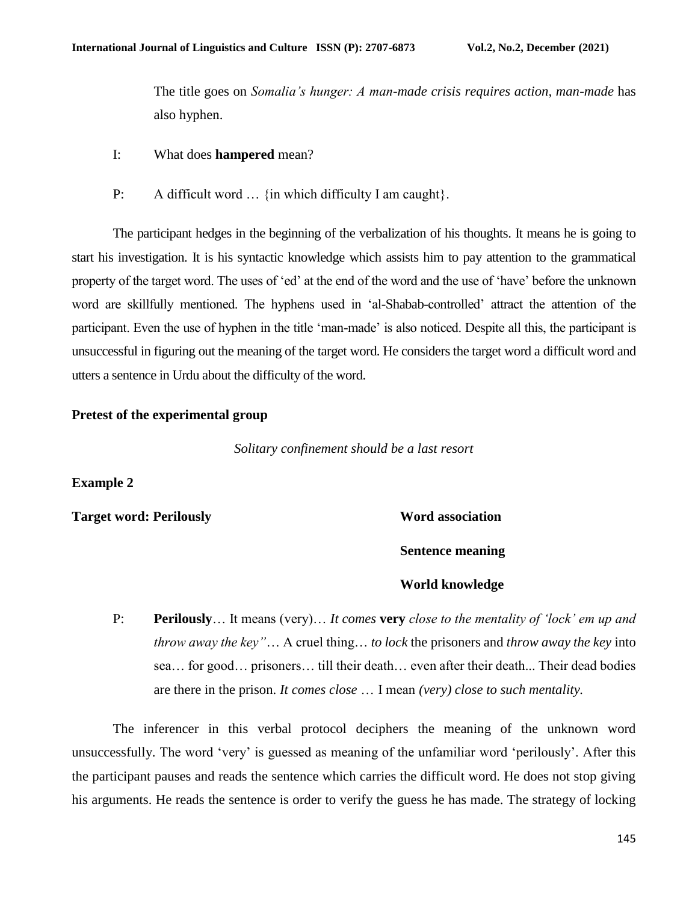The title goes on *Somalia's hunger: A man-made crisis requires action, man-made* has also hyphen.

- I: What does **hampered** mean?
- P: A difficult word ... {in which difficulty I am caught}.

The participant hedges in the beginning of the verbalization of his thoughts. It means he is going to start his investigation. It is his syntactic knowledge which assists him to pay attention to the grammatical property of the target word. The uses of 'ed' at the end of the word and the use of 'have' before the unknown word are skillfully mentioned. The hyphens used in 'al-Shabab-controlled' attract the attention of the participant. Even the use of hyphen in the title 'man-made' is also noticed. Despite all this, the participant is unsuccessful in figuring out the meaning of the target word. He considers the target word a difficult word and utters a sentence in Urdu about the difficulty of the word.

# **Pretest of the experimental group**

*Solitary confinement should be a last resort*

**Example 2**

**Target word: Perilously Word association in the UV of Association** 

**Sentence meaning** 

# **World knowledge**

P: **Perilously**… It means (very)… *It comes* **very** *close to the mentality of 'lock' em up and throw away the key"*… A cruel thing… *to lock* the prisoners and *throw away the key* into sea… for good… prisoners… till their death… even after their death... Their dead bodies are there in the prison. *It comes close* … I mean *(very) close to such mentality.*

The inferencer in this verbal protocol deciphers the meaning of the unknown word unsuccessfully. The word 'very' is guessed as meaning of the unfamiliar word 'perilously'. After this the participant pauses and reads the sentence which carries the difficult word. He does not stop giving his arguments. He reads the sentence is order to verify the guess he has made. The strategy of locking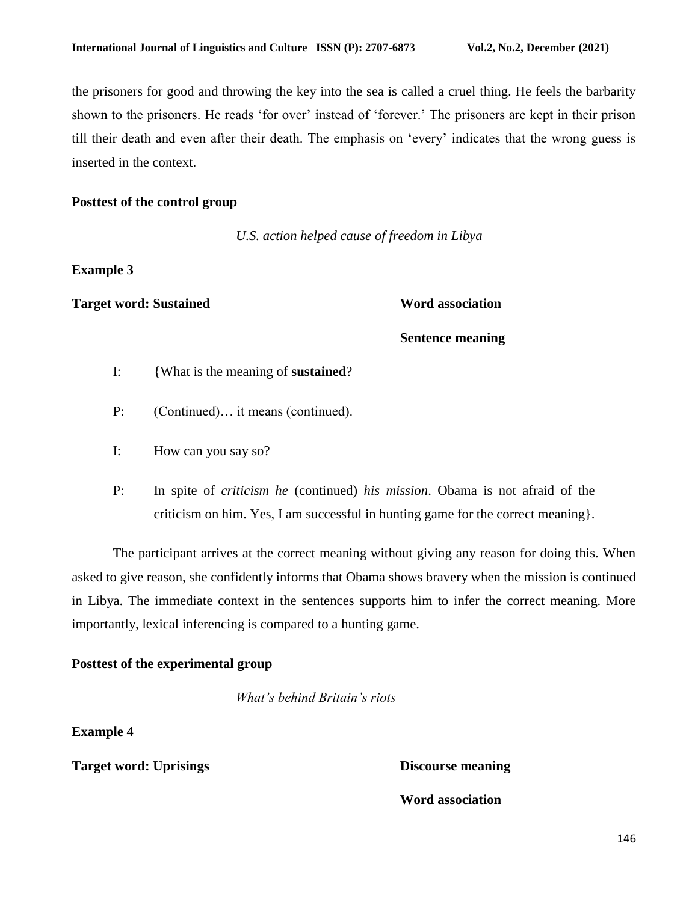the prisoners for good and throwing the key into the sea is called a cruel thing. He feels the barbarity shown to the prisoners. He reads 'for over' instead of 'forever.' The prisoners are kept in their prison till their death and even after their death. The emphasis on 'every' indicates that the wrong guess is inserted in the context.

# **Posttest of the control group**

*U.S. action helped cause of freedom in Libya*

# **Example 3**

**Target word: Sustained Word association** 

**Sentence meaning**

- I: {What is the meaning of **sustained**?
- P: (Continued)… it means (continued).
- I: How can you say so?
- P: In spite of *criticism he* (continued) *his mission*. Obama is not afraid of the criticism on him. Yes, I am successful in hunting game for the correct meaning}.

The participant arrives at the correct meaning without giving any reason for doing this. When asked to give reason, she confidently informs that Obama shows bravery when the mission is continued in Libya. The immediate context in the sentences supports him to infer the correct meaning. More importantly, lexical inferencing is compared to a hunting game.

# **Posttest of the experimental group**

*What's behind Britain's riots*

# **Example 4**

**Target word: Uprisings Target word: Uprisings Target Word: Uprisings Algorithment Constant Discourse meaning** 

**Word association**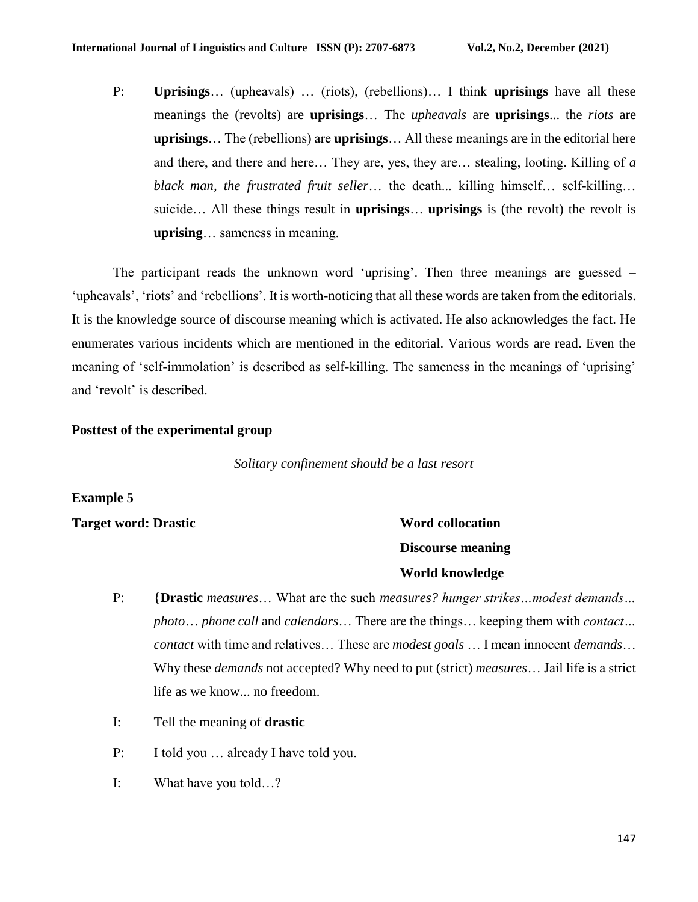P: **Uprisings**… (upheavals) … (riots), (rebellions)… I think **uprisings** have all these meanings the (revolts) are **uprisings**… The *upheavals* are **uprisings**... the *riots* are **uprisings**… The (rebellions) are **uprisings**… All these meanings are in the editorial here and there, and there and here… They are, yes, they are… stealing, looting. Killing of *a black man, the frustrated fruit seller*… the death... killing himself… self-killing… suicide… All these things result in **uprisings**… **uprisings** is (the revolt) the revolt is **uprising**… sameness in meaning.

The participant reads the unknown word 'uprising'. Then three meanings are guessed – 'upheavals', 'riots' and 'rebellions'. It is worth-noticing that all these words are taken from the editorials. It is the knowledge source of discourse meaning which is activated. He also acknowledges the fact. He enumerates various incidents which are mentioned in the editorial. Various words are read. Even the meaning of 'self-immolation' is described as self-killing. The sameness in the meanings of 'uprising' and 'revolt' is described.

# **Posttest of the experimental group**

*Solitary confinement should be a last resort*

# **Example 5**

**Target word: Drastic Word collocation is a set of the Word collocation Discourse meaning World knowledge**

- P: {**Drastic** *measures*… What are the such *measures? hunger strikes…modest demands… photo*… *phone call* and *calendars*… There are the things… keeping them with *contact… contact* with time and relatives… These are *modest goals* … I mean innocent *demands*… Why these *demands* not accepted? Why need to put (strict) *measures*… Jail life is a strict life as we know... no freedom.
- I: Tell the meaning of **drastic**
- P: I told you … already I have told you.
- I: What have you told…?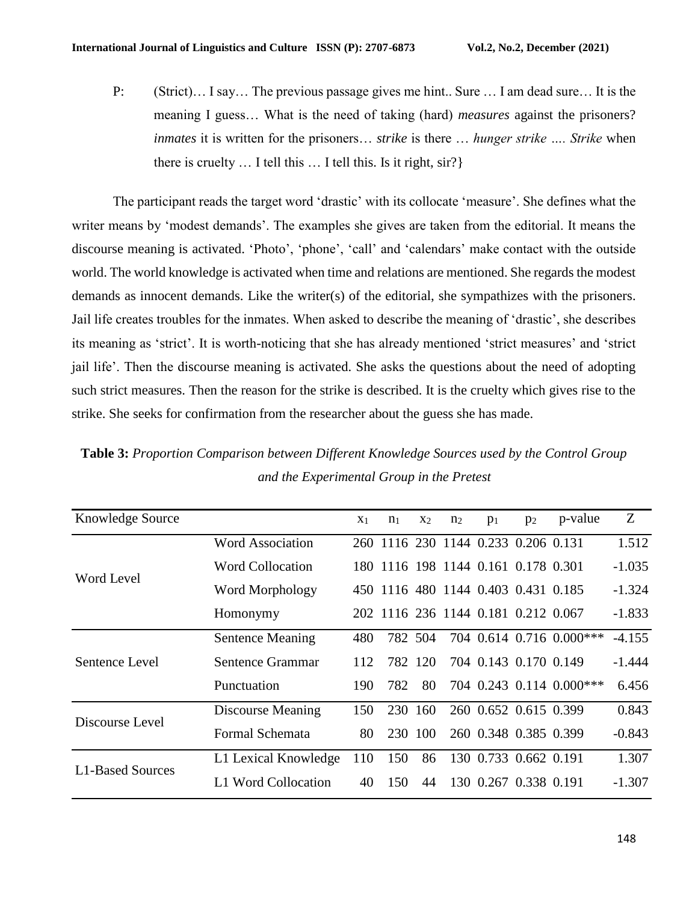P: (Strict)… I say… The previous passage gives me hint.. Sure … I am dead sure… It is the meaning I guess… What is the need of taking (hard) *measures* against the prisoners? *inmates* it is written for the prisoners… *strike* is there … *hunger strike …. Strike* when there is cruelty … I tell this … I tell this. Is it right, sir?}

The participant reads the target word 'drastic' with its collocate 'measure'. She defines what the writer means by 'modest demands'. The examples she gives are taken from the editorial. It means the discourse meaning is activated. 'Photo', 'phone', 'call' and 'calendars' make contact with the outside world. The world knowledge is activated when time and relations are mentioned. She regards the modest demands as innocent demands. Like the writer(s) of the editorial, she sympathizes with the prisoners. Jail life creates troubles for the inmates. When asked to describe the meaning of 'drastic', she describes its meaning as 'strict'. It is worth-noticing that she has already mentioned 'strict measures' and 'strict jail life'. Then the discourse meaning is activated. She asks the questions about the need of adopting such strict measures. Then the reason for the strike is described. It is the cruelty which gives rise to the strike. She seeks for confirmation from the researcher about the guess she has made.

| Knowledge Source |                          | X <sub>1</sub> | n <sub>1</sub> | X <sub>2</sub> | n <sub>2</sub> | $p_1$                               | $p_2$ | p-value                  | Z        |
|------------------|--------------------------|----------------|----------------|----------------|----------------|-------------------------------------|-------|--------------------------|----------|
|                  | <b>Word Association</b>  |                |                |                |                | 260 1116 230 1144 0.233 0.206 0.131 |       |                          | 1.512    |
| Word Level       | <b>Word Collocation</b>  |                |                |                |                | 180 1116 198 1144 0.161 0.178 0.301 |       |                          | $-1.035$ |
|                  | Word Morphology          |                |                |                |                | 450 1116 480 1144 0.403 0.431 0.185 |       |                          | $-1.324$ |
|                  | Homonymy                 |                |                |                |                | 202 1116 236 1144 0.181 0.212 0.067 |       |                          | $-1.833$ |
|                  | <b>Sentence Meaning</b>  | 480            |                | 782 504        |                |                                     |       | 704 0.614 0.716 0.000*** | $-4.155$ |
| Sentence Level   | Sentence Grammar         | 112            |                | 782 120        |                | 704 0.143 0.170 0.149               |       |                          | $-1.444$ |
|                  | Punctuation              | 190            | 782            | 80             |                |                                     |       | 704 0.243 0.114 0.000*** | 6.456    |
| Discourse Level  | <b>Discourse Meaning</b> | 150            |                | 230 160        |                | 260 0.652 0.615 0.399               |       |                          | 0.843    |
|                  | Formal Schemata          | 80             |                | 230 100        |                | 260 0.348 0.385 0.399               |       |                          | $-0.843$ |
| L1-Based Sources | L1 Lexical Knowledge     | 110            | 150            | 86             |                | 130 0.733 0.662 0.191               |       |                          | 1.307    |
|                  | L1 Word Collocation      | 40             | 150            | 44             |                | 130 0.267 0.338 0.191               |       |                          | $-1.307$ |

**Table 3:** *Proportion Comparison between Different Knowledge Sources used by the Control Group and the Experimental Group in the Pretest*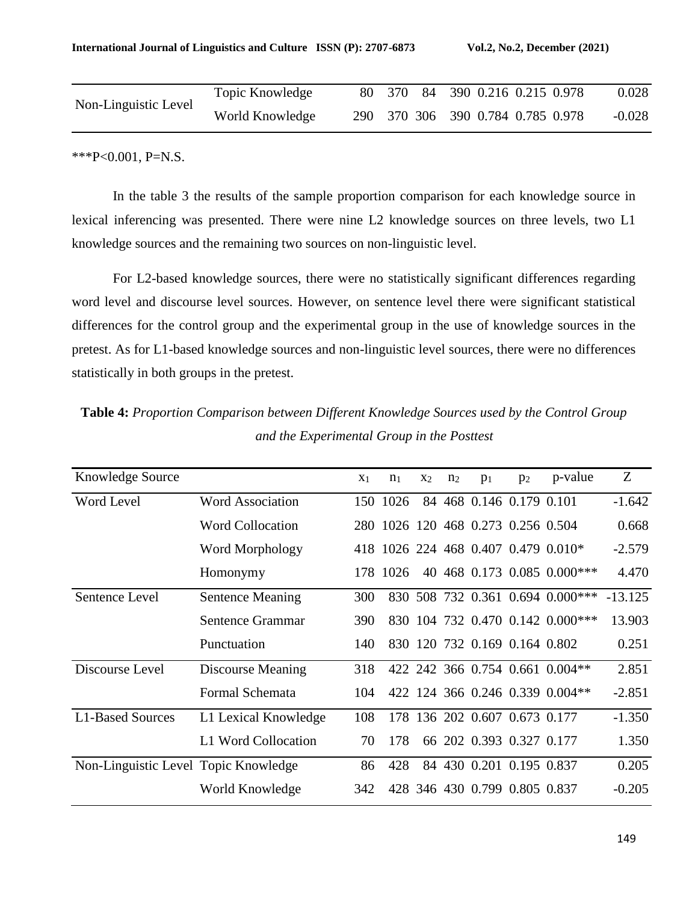| Non-Linguistic Level | Topic Knowledge | 80 370 84 |  | 390 0.216 0.215 0.978             | 0.028    |
|----------------------|-----------------|-----------|--|-----------------------------------|----------|
|                      | World Knowledge |           |  | 290 370 306 390 0.784 0.785 0.978 | $-0.028$ |

\*\*\*P<0.001, P=N.S.

In the table 3 the results of the sample proportion comparison for each knowledge source in lexical inferencing was presented. There were nine L2 knowledge sources on three levels, two L1 knowledge sources and the remaining two sources on non-linguistic level.

For L2-based knowledge sources, there were no statistically significant differences regarding word level and discourse level sources. However, on sentence level there were significant statistical differences for the control group and the experimental group in the use of knowledge sources in the pretest. As for L1-based knowledge sources and non-linguistic level sources, there were no differences statistically in both groups in the pretest.

| <b>Knowledge Source</b>              |                         | $X_1$ | n <sub>1</sub> | X <sub>2</sub> | n <sub>2</sub> | $p_1$                              | p <sub>2</sub> | p-value                             | Z         |
|--------------------------------------|-------------------------|-------|----------------|----------------|----------------|------------------------------------|----------------|-------------------------------------|-----------|
| Word Level                           | <b>Word Association</b> |       | 150 1026       |                |                | 84 468 0.146 0.179 0.101           |                |                                     | $-1.642$  |
|                                      | <b>Word Collocation</b> |       |                |                |                | 280 1026 120 468 0.273 0.256 0.504 |                |                                     | 0.668     |
|                                      | Word Morphology         |       |                |                |                |                                    |                | 418 1026 224 468 0.407 0.479 0.010* | $-2.579$  |
|                                      | Homonymy                |       | 178 1026       |                |                |                                    |                | 40 468 0.173 0.085 0.000***         | 4.470     |
| Sentence Level                       | <b>Sentence Meaning</b> | 300   |                |                |                |                                    |                | 830 508 732 0.361 0.694 0.000***    | $-13.125$ |
|                                      | Sentence Grammar        | 390   |                |                |                |                                    |                | 830 104 732 0.470 0.142 0.000***    | 13.903    |
|                                      | Punctuation             | 140   |                |                |                | 830 120 732 0.169 0.164 0.802      |                |                                     | 0.251     |
| Discourse Level                      | Discourse Meaning       | 318   |                |                |                |                                    |                | 422 242 366 0.754 0.661 0.004**     | 2.851     |
|                                      | Formal Schemata         | 104   |                |                |                |                                    |                | 422 124 366 0.246 0.339 0.004**     | $-2.851$  |
| L1-Based Sources                     | L1 Lexical Knowledge    | 108   |                |                |                | 178 136 202 0.607 0.673 0.177      |                |                                     | $-1.350$  |
|                                      | L1 Word Collocation     | 70    | 178            |                |                | 66 202 0.393 0.327 0.177           |                |                                     | 1.350     |
| Non-Linguistic Level Topic Knowledge |                         | 86    | 428            |                |                | 84 430 0.201 0.195 0.837           |                |                                     | 0.205     |
|                                      | World Knowledge         | 342   |                |                |                | 428 346 430 0.799 0.805 0.837      |                |                                     | $-0.205$  |

**Table 4:** *Proportion Comparison between Different Knowledge Sources used by the Control Group and the Experimental Group in the Posttest*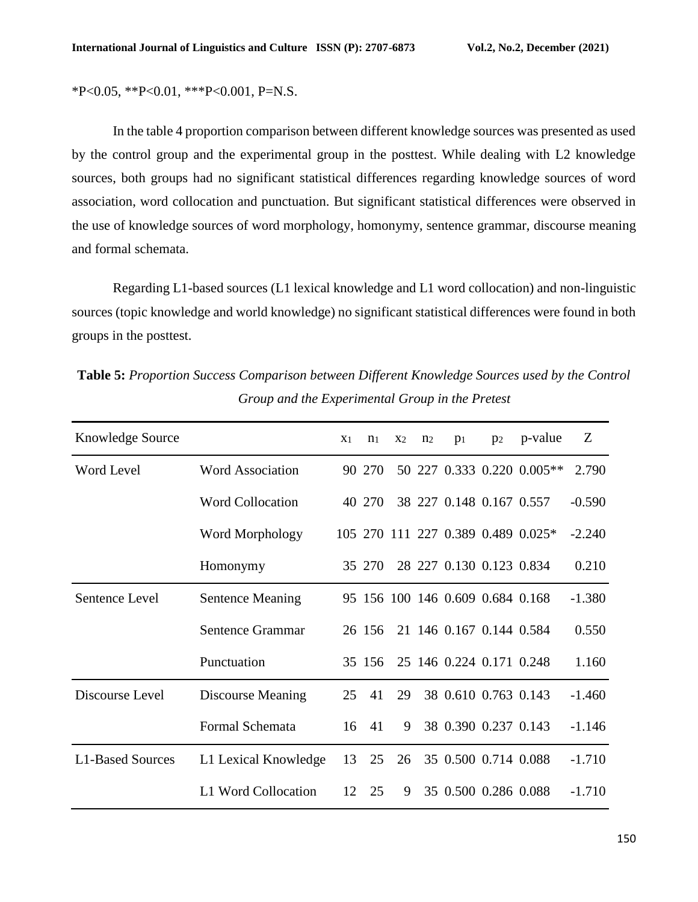$*P<0.05$ ,  $*P<0.01$ ,  $**P<0.001$ , P=N.S.

In the table 4 proportion comparison between different knowledge sources was presented as used by the control group and the experimental group in the posttest. While dealing with L2 knowledge sources, both groups had no significant statistical differences regarding knowledge sources of word association, word collocation and punctuation. But significant statistical differences were observed in the use of knowledge sources of word morphology, homonymy, sentence grammar, discourse meaning and formal schemata.

Regarding L1-based sources (L1 lexical knowledge and L1 word collocation) and non-linguistic sources (topic knowledge and world knowledge) no significant statistical differences were found in both groups in the posttest.

| Knowledge Source |                          | X <sub>1</sub> | n <sub>1</sub> | X <sub>2</sub> | n <sub>2</sub> | $p_1$ | p <sub>2</sub>           | p-value                            | Z        |
|------------------|--------------------------|----------------|----------------|----------------|----------------|-------|--------------------------|------------------------------------|----------|
| Word Level       | <b>Word Association</b>  |                | 90 270         |                |                |       |                          | 50 227 0.333 0.220 0.005**         | 2.790    |
|                  | <b>Word Collocation</b>  |                | 40 270         |                |                |       | 38 227 0.148 0.167 0.557 |                                    | $-0.590$ |
|                  | Word Morphology          |                |                |                |                |       |                          | 105 270 111 227 0.389 0.489 0.025* | $-2.240$ |
|                  | Homonymy                 |                | 35 270         |                |                |       | 28 227 0.130 0.123 0.834 |                                    | 0.210    |
| Sentence Level   | <b>Sentence Meaning</b>  |                |                |                |                |       |                          | 95 156 100 146 0.609 0.684 0.168   | $-1.380$ |
|                  | Sentence Grammar         |                | 26 156         |                |                |       |                          | 21 146 0.167 0.144 0.584           | 0.550    |
|                  | Punctuation              |                | 35 156         |                |                |       | 25 146 0.224 0.171 0.248 |                                    | 1.160    |
| Discourse Level  | <b>Discourse Meaning</b> | 25             | 41             | 29             |                |       | 38 0.610 0.763 0.143     |                                    | $-1.460$ |
|                  | Formal Schemata          | 16             | 41             | 9              |                |       |                          | 38 0.390 0.237 0.143               | $-1.146$ |
| L1-Based Sources | L1 Lexical Knowledge     | 13             | 25             | 26             |                |       |                          | 35 0.500 0.714 0.088               | $-1.710$ |
|                  | L1 Word Collocation      | 12             | 25             | 9              |                |       |                          | 35 0.500 0.286 0.088               | $-1.710$ |

**Table 5:** *Proportion Success Comparison between Different Knowledge Sources used by the Control Group and the Experimental Group in the Pretest*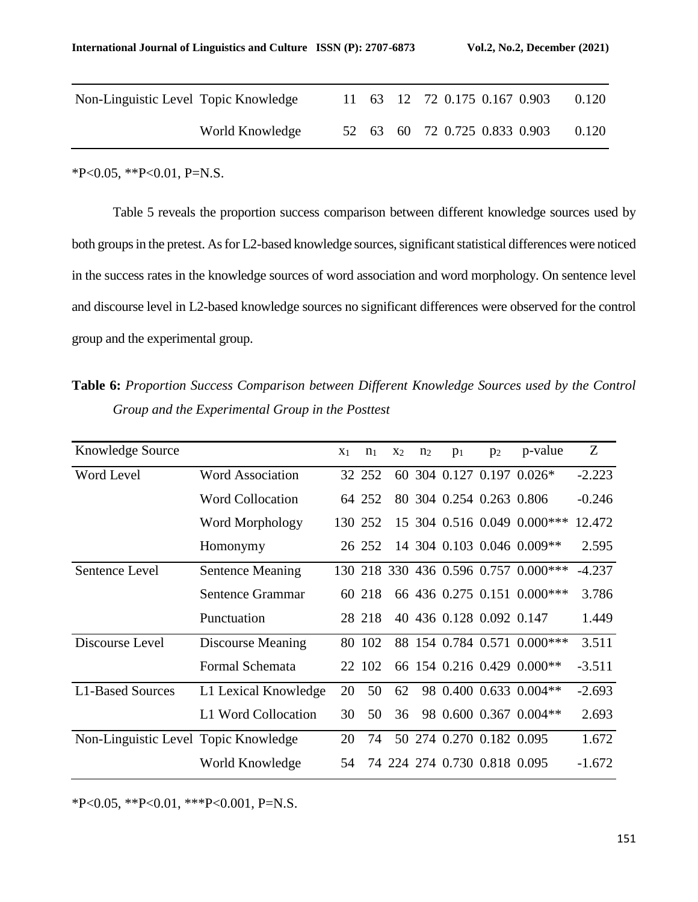| Non-Linguistic Level Topic Knowledge |  | 11 63 12 72 0.175 0.167 0.903 |  | 0.120 |
|--------------------------------------|--|-------------------------------|--|-------|
| World Knowledge                      |  | 52 63 60 72 0.725 0.833 0.903 |  | 0.120 |

 $*P<0.05$ ,  $*P<0.01$ ,  $P=N.S$ .

Table 5 reveals the proportion success comparison between different knowledge sources used by both groups in the pretest. As for L2-based knowledge sources, significant statistical differences were noticed in the success rates in the knowledge sources of word association and word morphology. On sentence level and discourse level in L2-based knowledge sources no significant differences were observed for the control group and the experimental group.

**Table 6:** *Proportion Success Comparison between Different Knowledge Sources used by the Control Group and the Experimental Group in the Posttest*

| Knowledge Source                     |                         | X <sub>1</sub> | n <sub>1</sub> | X <sub>2</sub> | n <sub>2</sub> | $p_1$ | p <sub>2</sub>               | p-value                              | Z        |
|--------------------------------------|-------------------------|----------------|----------------|----------------|----------------|-------|------------------------------|--------------------------------------|----------|
| Word Level                           | <b>Word Association</b> |                | 32 252         |                |                |       |                              | 60 304 0.127 0.197 0.026*            | $-2.223$ |
|                                      | <b>Word Collocation</b> |                | 64 252         |                |                |       | 80 304 0.254 0.263 0.806     |                                      | $-0.246$ |
|                                      | Word Morphology         |                | 130 252        |                |                |       |                              | 15 304 0.516 0.049 0.000***          | 12.472   |
| Homonymy                             |                         |                | 26 252         |                |                |       |                              | 14 304 0.103 0.046 0.009**           | 2.595    |
| Sentence Level                       | <b>Sentence Meaning</b> |                |                |                |                |       |                              | 130 218 330 436 0.596 0.757 0.000*** | $-4.237$ |
|                                      | <b>Sentence Grammar</b> |                | 60 218         |                |                |       |                              | 66 436 0.275 0.151 0.000***          | 3.786    |
|                                      | Punctuation             |                | 28 218         |                |                |       | 40 436 0.128 0.092 0.147     |                                      | 1.449    |
| Discourse Level                      | Discourse Meaning       |                | 80 102         |                |                |       |                              | 88 154 0.784 0.571 0.000***          | 3.511    |
|                                      | Formal Schemata         |                | 22 102         |                |                |       |                              | 66 154 0.216 0.429 0.000**           | $-3.511$ |
| L1-Based Sources                     | L1 Lexical Knowledge    | 20             | 50             | 62             |                |       |                              | 98 0.400 0.633 0.004**               | $-2.693$ |
|                                      | L1 Word Collocation     | 30             | 50             | 36             |                |       |                              | 98 0.600 0.367 0.004**               | 2.693    |
| Non-Linguistic Level Topic Knowledge |                         | 20             | 74             |                |                |       | 50 274 0.270 0.182 0.095     |                                      | 1.672    |
|                                      | World Knowledge         | 54             |                |                |                |       | 74 224 274 0.730 0.818 0.095 |                                      | $-1.672$ |

\*P<0.05, \*\*P<0.01, \*\*\*P<0.001, P=N.S.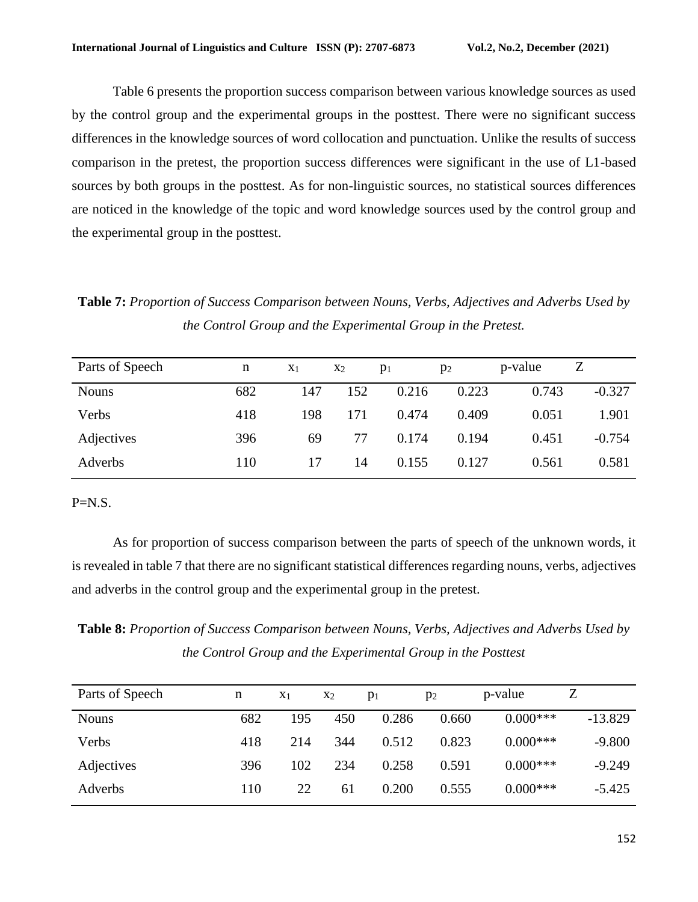Table 6 presents the proportion success comparison between various knowledge sources as used by the control group and the experimental groups in the posttest. There were no significant success differences in the knowledge sources of word collocation and punctuation. Unlike the results of success comparison in the pretest, the proportion success differences were significant in the use of L1-based sources by both groups in the posttest. As for non-linguistic sources, no statistical sources differences are noticed in the knowledge of the topic and word knowledge sources used by the control group and the experimental group in the posttest.

**Table 7:** *Proportion of Success Comparison between Nouns, Verbs, Adjectives and Adverbs Used by the Control Group and the Experimental Group in the Pretest.*

| Parts of Speech | n   | X <sub>1</sub> | $X_2$ | $p_1$ | $p_2$ | p-value | Ζ        |
|-----------------|-----|----------------|-------|-------|-------|---------|----------|
| <b>Nouns</b>    | 682 | 147            | 152   | 0.216 | 0.223 | 0.743   | $-0.327$ |
| Verbs           | 418 | 198            | 171   | 0.474 | 0.409 | 0.051   | 1.901    |
| Adjectives      | 396 | 69             | 77    | 0.174 | 0.194 | 0.451   | $-0.754$ |
| Adverbs         | 110 | 17             | 14    | 0.155 | 0.127 | 0.561   | 0.581    |

#### $P=N.S.$

As for proportion of success comparison between the parts of speech of the unknown words, it is revealed in table 7 that there are no significant statistical differences regarding nouns, verbs, adjectives and adverbs in the control group and the experimental group in the pretest.

**Table 8:** *Proportion of Success Comparison between Nouns, Verbs, Adjectives and Adverbs Used by the Control Group and the Experimental Group in the Posttest*

| Parts of Speech | n   | X <sub>1</sub> | X <sub>2</sub> | $p_1$ | $p_2$ | p-value     |           |
|-----------------|-----|----------------|----------------|-------|-------|-------------|-----------|
| <b>Nouns</b>    | 682 | 195            | 450            | 0.286 | 0.660 | $0.000***$  | $-13.829$ |
| Verbs           | 418 | 214            | 344            | 0.512 | 0.823 | $0.000***$  | $-9.800$  |
| Adjectives      | 396 | 102            | 234            | 0.258 | 0.591 | $0.000***$  | $-9.249$  |
| Adverbs         | 110 | 22             | 61             | 0.200 | 0.555 | $0.000$ *** | $-5.425$  |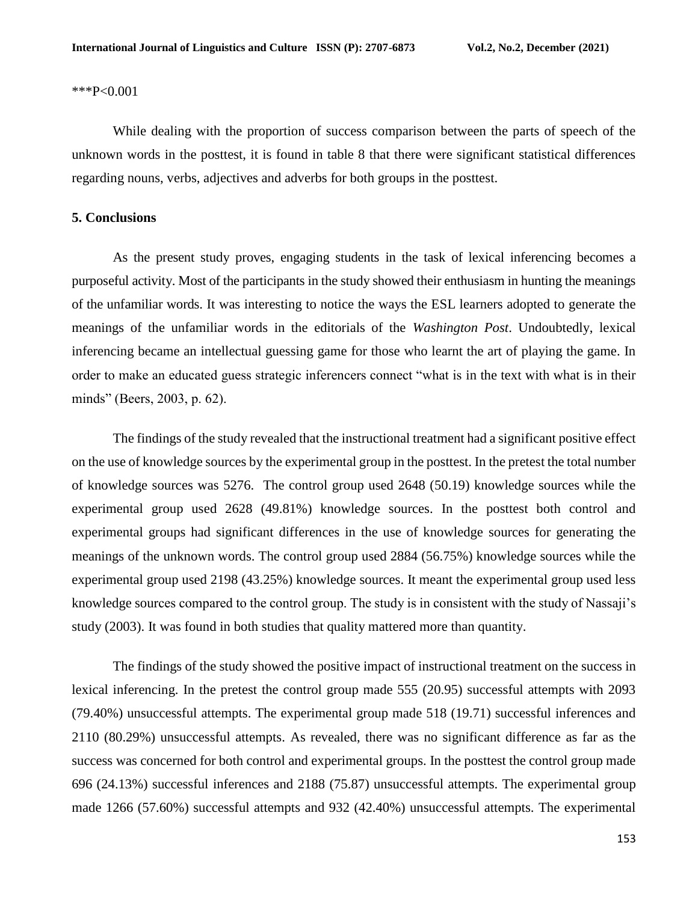\*\*\*P<0.001

While dealing with the proportion of success comparison between the parts of speech of the unknown words in the posttest, it is found in table 8 that there were significant statistical differences regarding nouns, verbs, adjectives and adverbs for both groups in the posttest.

#### **5. Conclusions**

As the present study proves, engaging students in the task of lexical inferencing becomes a purposeful activity. Most of the participants in the study showed their enthusiasm in hunting the meanings of the unfamiliar words. It was interesting to notice the ways the ESL learners adopted to generate the meanings of the unfamiliar words in the editorials of the *Washington Post*. Undoubtedly, lexical inferencing became an intellectual guessing game for those who learnt the art of playing the game. In order to make an educated guess strategic inferencers connect "what is in the text with what is in their minds" (Beers, 2003, p. 62).

The findings of the study revealed that the instructional treatment had a significant positive effect on the use of knowledge sources by the experimental group in the posttest. In the pretest the total number of knowledge sources was 5276. The control group used 2648 (50.19) knowledge sources while the experimental group used 2628 (49.81%) knowledge sources. In the posttest both control and experimental groups had significant differences in the use of knowledge sources for generating the meanings of the unknown words. The control group used 2884 (56.75%) knowledge sources while the experimental group used 2198 (43.25%) knowledge sources. It meant the experimental group used less knowledge sources compared to the control group. The study is in consistent with the study of Nassaji's study (2003). It was found in both studies that quality mattered more than quantity.

The findings of the study showed the positive impact of instructional treatment on the success in lexical inferencing. In the pretest the control group made 555 (20.95) successful attempts with 2093 (79.40%) unsuccessful attempts. The experimental group made 518 (19.71) successful inferences and 2110 (80.29%) unsuccessful attempts. As revealed, there was no significant difference as far as the success was concerned for both control and experimental groups. In the posttest the control group made 696 (24.13%) successful inferences and 2188 (75.87) unsuccessful attempts. The experimental group made 1266 (57.60%) successful attempts and 932 (42.40%) unsuccessful attempts. The experimental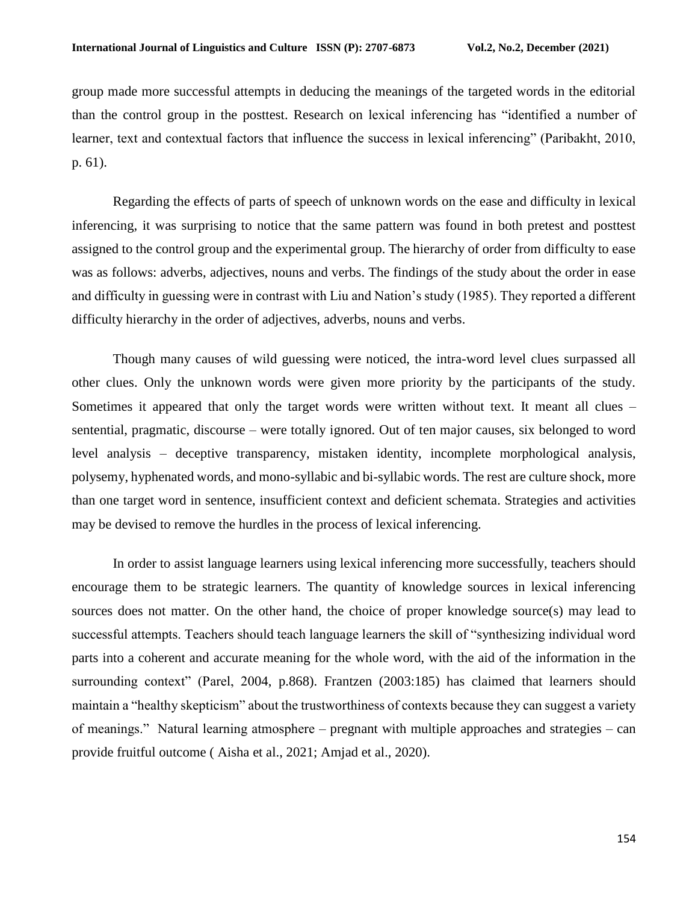group made more successful attempts in deducing the meanings of the targeted words in the editorial than the control group in the posttest. Research on lexical inferencing has "identified a number of learner, text and contextual factors that influence the success in lexical inferencing" (Paribakht, 2010, p. 61).

Regarding the effects of parts of speech of unknown words on the ease and difficulty in lexical inferencing, it was surprising to notice that the same pattern was found in both pretest and posttest assigned to the control group and the experimental group. The hierarchy of order from difficulty to ease was as follows: adverbs, adjectives, nouns and verbs. The findings of the study about the order in ease and difficulty in guessing were in contrast with Liu and Nation's study (1985). They reported a different difficulty hierarchy in the order of adjectives, adverbs, nouns and verbs.

Though many causes of wild guessing were noticed, the intra-word level clues surpassed all other clues. Only the unknown words were given more priority by the participants of the study. Sometimes it appeared that only the target words were written without text. It meant all clues – sentential, pragmatic, discourse – were totally ignored. Out of ten major causes, six belonged to word level analysis – deceptive transparency, mistaken identity, incomplete morphological analysis, polysemy, hyphenated words, and mono-syllabic and bi-syllabic words. The rest are culture shock, more than one target word in sentence, insufficient context and deficient schemata. Strategies and activities may be devised to remove the hurdles in the process of lexical inferencing.

In order to assist language learners using lexical inferencing more successfully, teachers should encourage them to be strategic learners. The quantity of knowledge sources in lexical inferencing sources does not matter. On the other hand, the choice of proper knowledge source(s) may lead to successful attempts. Teachers should teach language learners the skill of "synthesizing individual word parts into a coherent and accurate meaning for the whole word, with the aid of the information in the surrounding context" (Parel, 2004, p.868). Frantzen (2003:185) has claimed that learners should maintain a "healthy skepticism" about the trustworthiness of contexts because they can suggest a variety of meanings." Natural learning atmosphere – pregnant with multiple approaches and strategies – can provide fruitful outcome ( Aisha et al., 2021; Amjad et al., 2020).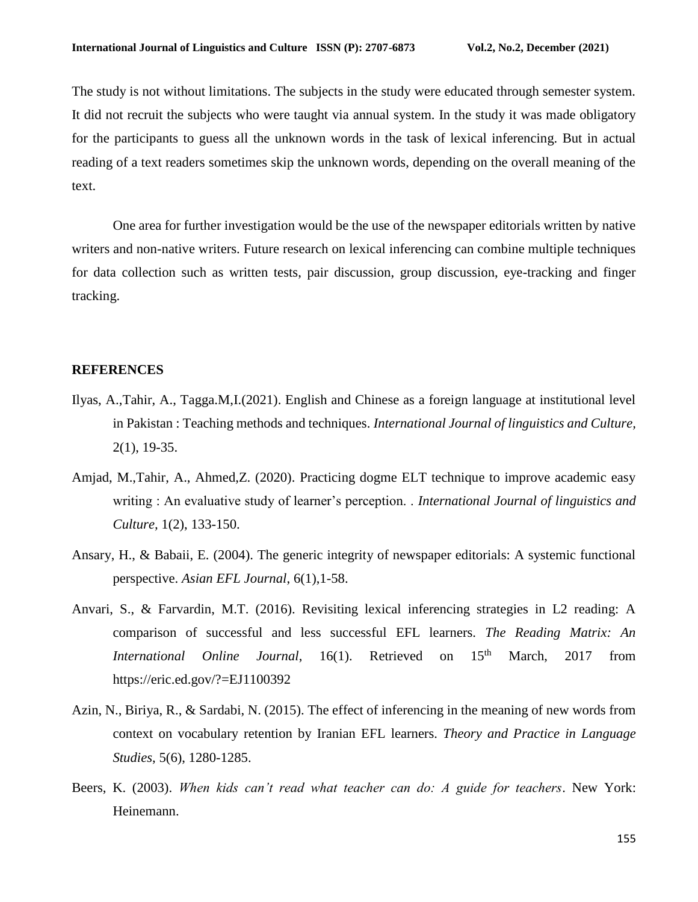The study is not without limitations. The subjects in the study were educated through semester system. It did not recruit the subjects who were taught via annual system. In the study it was made obligatory for the participants to guess all the unknown words in the task of lexical inferencing. But in actual reading of a text readers sometimes skip the unknown words, depending on the overall meaning of the text.

One area for further investigation would be the use of the newspaper editorials written by native writers and non-native writers. Future research on lexical inferencing can combine multiple techniques for data collection such as written tests, pair discussion, group discussion, eye-tracking and finger tracking.

#### **REFERENCES**

- Ilyas, A.,Tahir, A., Tagga.M,I.(2021). English and Chinese as a foreign language at institutional level in Pakistan : Teaching methods and techniques. *International Journal of linguistics and Culture,*  2(1), 19-35.
- Amjad, M.,Tahir, A., Ahmed,Z. (2020). Practicing dogme ELT technique to improve academic easy writing : An evaluative study of learner's perception. . *International Journal of linguistics and Culture,* 1(2), 133-150.
- Ansary, H., & Babaii, E. (2004). The generic integrity of newspaper editorials: A systemic functional perspective. *Asian EFL Journal*, 6(1),1-58.
- Anvari, S., & Farvardin, M.T. (2016). Revisiting lexical inferencing strategies in L2 reading: A comparison of successful and less successful EFL learners. *The Reading Matrix: An International Online Journal*, 16(1). Retrieved on 15<sup>th</sup> March, 2017 from https://eric.ed.gov/?=EJ1100392
- Azin, N., Biriya, R., & Sardabi, N. (2015). The effect of inferencing in the meaning of new words from context on vocabulary retention by Iranian EFL learners. *Theory and Practice in Language Studies*, 5(6), 1280-1285.
- Beers, K. (2003). *When kids can't read what teacher can do: A guide for teachers*. New York: Heinemann.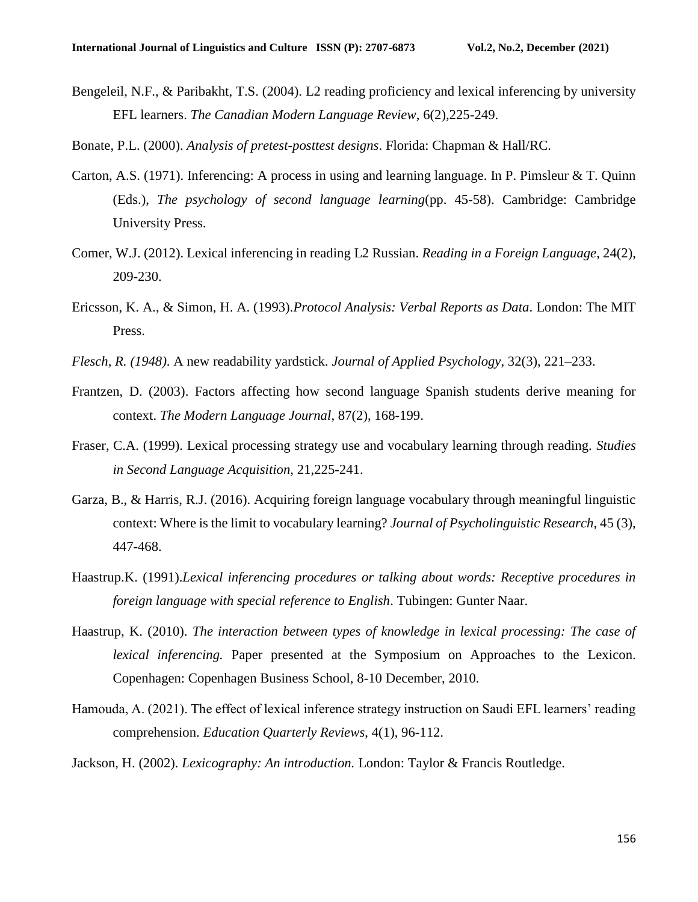Bengeleil, N.F., & Paribakht, T.S. (2004). L2 reading proficiency and lexical inferencing by university EFL learners. *The Canadian Modern Language Review*, 6(2),225-249.

Bonate, P.L. (2000). *Analysis of pretest-posttest designs*. Florida: Chapman & Hall/RC.

- Carton, A.S. (1971). Inferencing: A process in using and learning language. In P. Pimsleur & T. Quinn (Eds.), *The psychology of second language learning*(pp. 45-58). Cambridge: Cambridge University Press.
- Comer, W.J. (2012). Lexical inferencing in reading L2 Russian. *Reading in a Foreign Language*, 24(2), 209-230.
- Ericsson, K. A., & Simon, H. A. (1993).*Protocol Analysis: Verbal Reports as Data*. London: The MIT Press.
- *Flesch, R. (1948)*. A new readability yardstick. *Journal of Applied Psychology*, 32(3), 221–233.
- Frantzen, D. (2003). Factors affecting how second language Spanish students derive meaning for context. *The Modern Language Journal*, 87(2), 168-199.
- Fraser, C.A. (1999). Lexical processing strategy use and vocabulary learning through reading. *Studies in Second Language Acquisition,* 21,225-241.
- Garza, B., & Harris, R.J. (2016). Acquiring foreign language vocabulary through meaningful linguistic context: Where is the limit to vocabulary learning? *Journal of Psycholinguistic Research*, 45 (3), 447-468.
- Haastrup.K. (1991).*Lexical inferencing procedures or talking about words: Receptive procedures in foreign language with special reference to English*. Tubingen: Gunter Naar.
- Haastrup, K. (2010). *The interaction between types of knowledge in lexical processing: The case of lexical inferencing.* Paper presented at the Symposium on Approaches to the Lexicon. Copenhagen: Copenhagen Business School, 8-10 December, 2010.
- Hamouda, A. (2021). The effect of lexical inference strategy instruction on Saudi EFL learners' reading comprehension. *Education Quarterly Reviews*, 4(1), 96-112.

Jackson, H. (2002). *Lexicography: An introduction.* London: Taylor & Francis Routledge.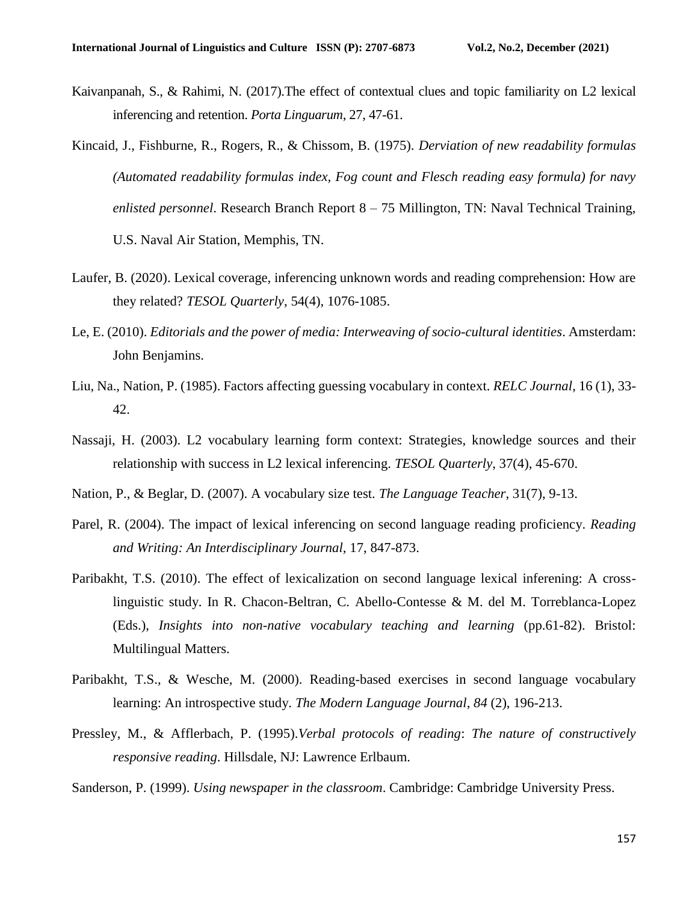- Kaivanpanah, S., & Rahimi, N. (2017).The effect of contextual clues and topic familiarity on L2 lexical inferencing and retention. *Porta Linguarum*, 27, 47-61.
- Kincaid, J., Fishburne, R., Rogers, R., & Chissom, B. (1975). *Derviation of new readability formulas (Automated readability formulas index, Fog count and Flesch reading easy formula) for navy enlisted personnel*. Research Branch Report 8 – 75 Millington, TN: Naval Technical Training, U.S. Naval Air Station, Memphis, TN.
- Laufer, B. (2020). Lexical coverage, inferencing unknown words and reading comprehension: How are they related? *TESOL Quarterly*, 54(4), 1076-1085.
- Le, E. (2010). *Editorials and the power of media: Interweaving of socio-cultural identities*. Amsterdam: John Benjamins.
- Liu, Na., Nation, P. (1985). Factors affecting guessing vocabulary in context. *RELC Journal*, 16 (1), 33- 42.
- Nassaji, H. (2003). L2 vocabulary learning form context: Strategies, knowledge sources and their relationship with success in L2 lexical inferencing. *TESOL Quarterly*, 37(4), 45-670.
- Nation, P., & Beglar, D. (2007). A vocabulary size test. *The Language Teacher*, 31(7), 9-13.
- Parel, R. (2004). The impact of lexical inferencing on second language reading proficiency. *Reading and Writing: An Interdisciplinary Journal,* 17, 847-873.
- Paribakht, T.S. (2010). The effect of lexicalization on second language lexical inferening: A crosslinguistic study. In R. Chacon-Beltran, C. Abello-Contesse & M. del M. Torreblanca-Lopez (Eds.), *Insights into non-native vocabulary teaching and learning* (pp.61-82). Bristol: Multilingual Matters.
- Paribakht, T.S., & Wesche, M. (2000). Reading-based exercises in second language vocabulary learning: An introspective study. *The Modern Language Journal*, *84* (2), 196-213.
- Pressley, M., & Afflerbach, P. (1995).*Verbal protocols of reading*: *The nature of constructively responsive reading*. Hillsdale, NJ: Lawrence Erlbaum.

Sanderson, P. (1999). *Using newspaper in the classroom*. Cambridge: Cambridge University Press.